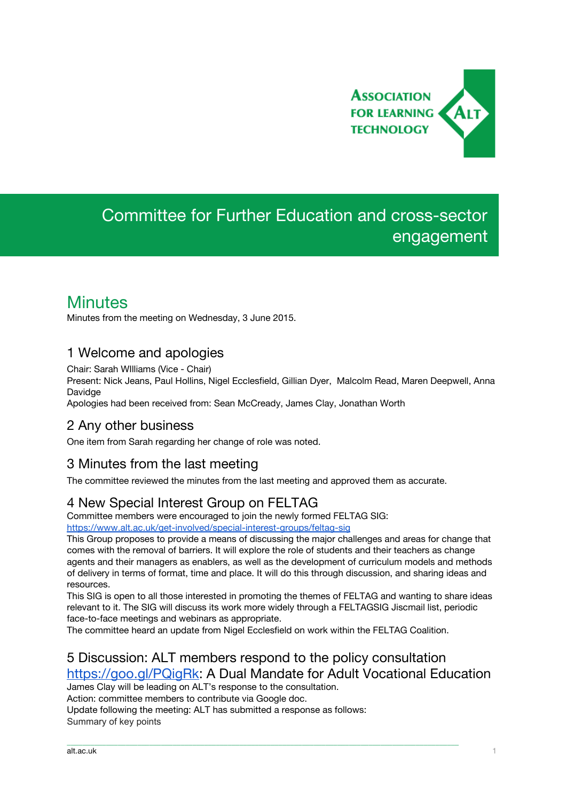

# Committee for Further Education and cross-sector engagement

# **Minutes**

Minutes from the meeting on Wednesday, 3 June 2015.

# 1 Welcome and apologies

Chair: Sarah WIlliams (Vice - Chair) Present: Nick Jeans, Paul Hollins, Nigel Ecclesfield, Gillian Dyer, Malcolm Read, Maren Deepwell, Anna Davidge

Apologies had been received from: Sean McCready, James Clay, Jonathan Worth

### 2 Any other business

One item from Sarah regarding her change of role was noted.

### 3 Minutes from the last meeting

The committee reviewed the minutes from the last meeting and approved them as accurate.

# 4 New Special Interest Group on FELTAG

Committee members were encouraged to join the newly formed FELTAG SIG: <https://www.alt.ac.uk/get-involved/special-interest-groups/feltag-sig>

This Group proposes to provide a means of discussing the major challenges and areas for change that comes with the removal of barriers. It will explore the role of students and their teachers as change agents and their managers as enablers, as well as the development of curriculum models and methods of delivery in terms of format, time and place. It will do this through discussion, and sharing ideas and resources.

This SIG is open to all those interested in promoting the themes of FELTAG and wanting to share ideas relevant to it. The SIG will discuss its work more widely through a FELTAGSIG Jiscmail list, periodic face-to-face meetings and webinars as appropriate.

The committee heard an update from Nigel Ecclesfield on work within the FELTAG Coalition.

\_\_\_\_\_\_\_\_\_\_\_\_\_\_\_\_\_\_\_\_\_\_\_\_\_\_\_\_\_\_\_\_\_\_\_\_\_\_\_\_\_\_\_\_\_\_\_\_\_\_\_\_\_\_\_\_\_\_\_\_\_\_\_\_\_\_\_\_\_\_\_\_\_\_\_\_\_\_\_\_\_\_\_\_\_\_\_\_\_\_\_\_\_\_\_\_\_\_\_\_

# 5 Discussion: ALT members respond to the policy consultation <https://goo.gl/PQigRk>: A Dual Mandate for Adult Vocational Education

James Clay will be leading on ALT's response to the consultation.

Action: committee members to contribute via Google doc.

Update following the meeting: ALT has submitted a response as follows: Summary of key points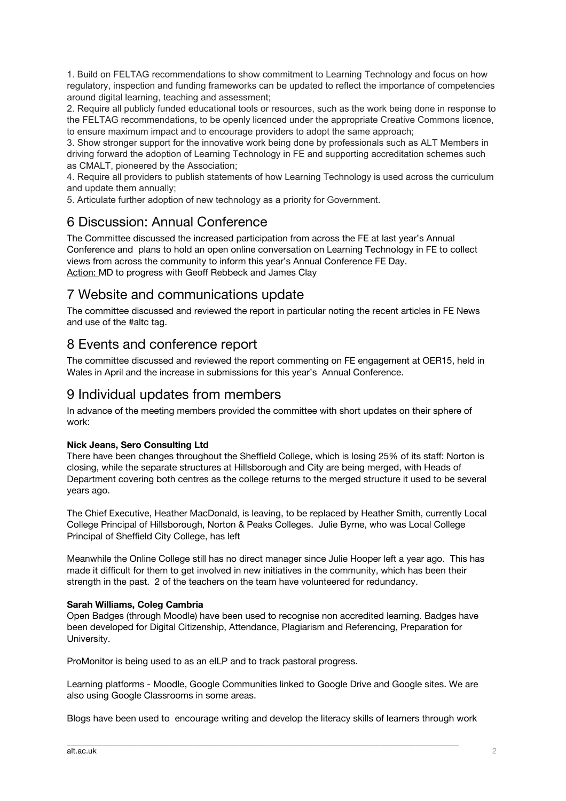1. Build on FELTAG recommendations to show commitment to Learning Technology and focus on how regulatory, inspection and funding frameworks can be updated to reflect the importance of competencies around digital learning, teaching and assessment;

2. Require all publicly funded educational tools or resources, such as the work being done in response to the FELTAG recommendations, to be openly licenced under the appropriate Creative Commons licence, to ensure maximum impact and to encourage providers to adopt the same approach;

3. Show stronger support for the innovative work being done by professionals such as ALT Members in driving forward the adoption of Learning Technology in FE and supporting accreditation schemes such as CMALT, pioneered by the Association;

4. Require all providers to publish statements of how Learning Technology is used across the curriculum and update them annually;

5. Articulate further adoption of new technology as a priority for Government.

## 6 Discussion: Annual Conference

The Committee discussed the increased participation from across the FE at last year's Annual Conference and plans to hold an open online conversation on Learning Technology in FE to collect views from across the community to inform this year's Annual Conference FE Day. Action: MD to progress with Geoff Rebbeck and James Clay

## 7 Website and communications update

The committee discussed and reviewed the report in particular noting the recent articles in FE News and use of the #altc tag.

## 8 Events and conference report

The committee discussed and reviewed the report commenting on FE engagement at OER15, held in Wales in April and the increase in submissions for this year's Annual Conference.

### 9 Individual updates from members

In advance of the meeting members provided the committee with short updates on their sphere of work:

#### **Nick Jeans, Sero Consulting Ltd**

There have been changes throughout the Sheffield College, which is losing 25% of its staff: Norton is closing, while the separate structures at Hillsborough and City are being merged, with Heads of Department covering both centres as the college returns to the merged structure it used to be several years ago.

The Chief Executive, Heather MacDonald, is leaving, to be replaced by Heather Smith, currently Local College Principal of Hillsborough, Norton & Peaks Colleges. Julie Byrne, who was Local College Principal of Sheffield City College, has left

Meanwhile the Online College still has no direct manager since Julie Hooper left a year ago. This has made it difficult for them to get involved in new initiatives in the community, which has been their strength in the past. 2 of the teachers on the team have volunteered for redundancy.

#### **Sarah Williams, Coleg Cambria**

Open Badges (through Moodle) have been used to recognise non accredited learning. Badges have been developed for Digital Citizenship, Attendance, Plagiarism and Referencing, Preparation for University.

ProMonitor is being used to as an eILP and to track pastoral progress.

Learning platforms - Moodle, Google Communities linked to Google Drive and Google sites. We are also using Google Classrooms in some areas.

Blogs have been used to encourage writing and develop the literacy skills of learners through work

\_\_\_\_\_\_\_\_\_\_\_\_\_\_\_\_\_\_\_\_\_\_\_\_\_\_\_\_\_\_\_\_\_\_\_\_\_\_\_\_\_\_\_\_\_\_\_\_\_\_\_\_\_\_\_\_\_\_\_\_\_\_\_\_\_\_\_\_\_\_\_\_\_\_\_\_\_\_\_\_\_\_\_\_\_\_\_\_\_\_\_\_\_\_\_\_\_\_\_\_